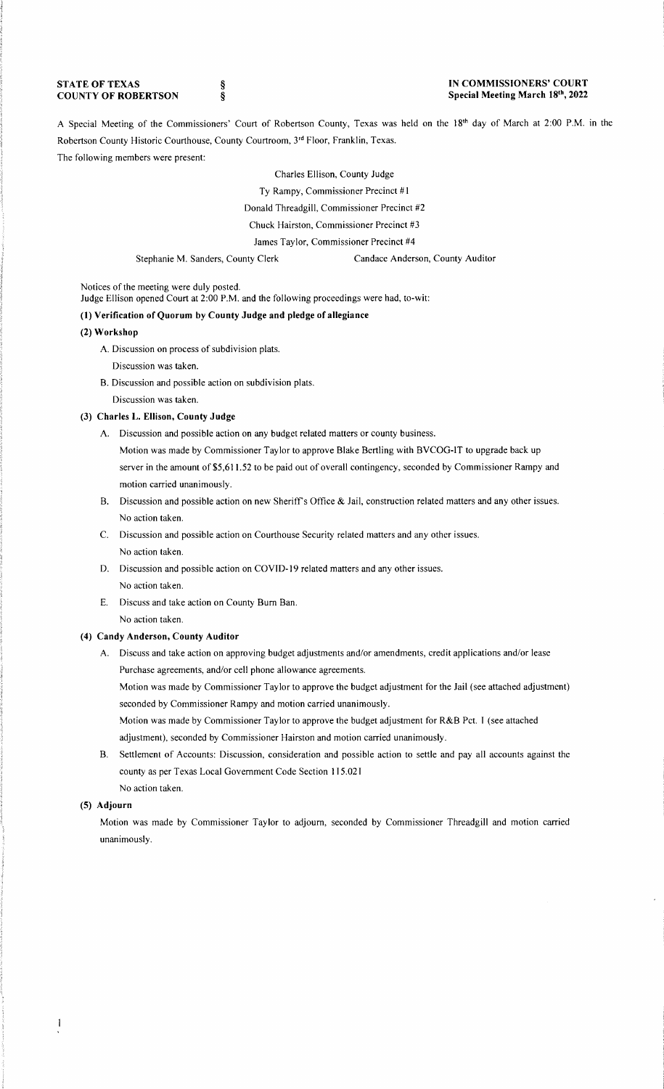### **STATE OF TEXAS COUNTY OF ROBERTSON**

§ §

#### **IN COMMISSIONERS' COURT Special Meeting March 18th, 2022**

A Special Meeting of the Commissioners' Court of Robertson County, Texas was held on the 18<sup>th</sup> day of March at 2:00 P.M. in the Robertson County Historic Courthouse, County Courtroom, 3rd Floor, Franklin, Texas. The following members were present:

> Charles Ellison, County Judge Ty Rampy, Commissioner Precinct #1 Donald Threadgill, Commissioner Precinct #2 Chuck Hairston, Commissioner Precinct #3 James Taylor, Commissioner Precinct #4

Stephanie M. Sanders, County Clerk Candace Anderson, County Auditor

Notices of the meeting were duly posted.

Judge Ellison opened Court at 2:00 **P.M.** and the following proceedings were had, to-wit:

### **(1) Verification of Quorum by County Judge and pledge of allegiance**

### **(2) Workshop**

- **A.** Discussion on process of subdivision plats.
	- Discussion was taken.
- B. Discussion and possible action on subdivision plats. Discussion was taken.

# **(3) Charles L. Ellison, County Judge**

- A. Discussion and possible action on any budget related matters or county business.
	- Motion was made by Commissioner Taylor to approve Blake Bertling with BVCOG-IT to upgrade back up server in the amount of \$5,611.52 to be paid out of overall contingency, seconded by Commissioner Rampy and motion carried unanimously.
- B. Discussion and possible action on new Sheriffs Office & Jail, construction related matters and any other issues. No action taken.
- C. Discussion and possible action on Courthouse Security related matters and any other issues. No action taken.
- D. Discussion and possible action on COVID-19 related matters and any other issues. No action taken.
- E. Discuss and take action on County Bum Ban. No action taken.

# **(4) Candy Anderson, County Auditor**

A. Discuss and take action on approving budget adjustments and/or amendments, credit applications and/or lease Purchase agreements, and/or cell phone allowance agreements.

Motion was made by Commissioner Taylor to approve the budget adjustment for the Jail (see attached adjustment) seconded by Commissioner Rampy and motion carried unanimously.

Motion was made by Commissioner Taylor to approve the budget adjustment for R&B Pct. **1** (see attached adjustment), seconded by Commissioner Hairston and motion carried unanimously.

B. Settlement of Accounts: Discussion, consideration and possible action to settle and pay all accounts against the county as per Texas Local Government Code Section 115.021 No action taken.

#### **(5) Adjourn**

Motion was made by Commissioner Taylor to adjourn, seconded by Commissioner Threadgill and motion carried unanimously.